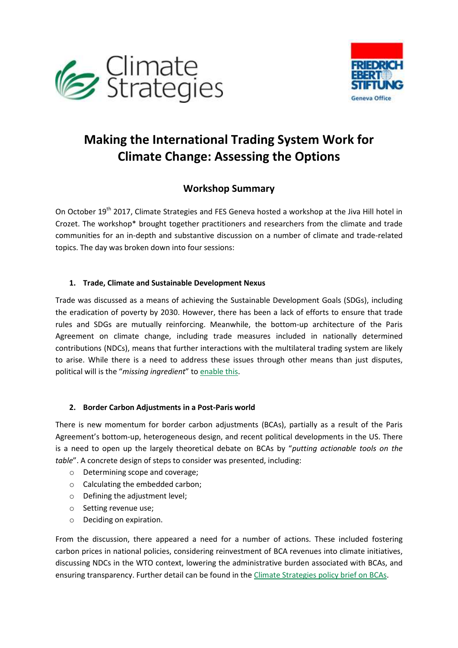



# **Making the International Trading System Work for Climate Change: Assessing the Options**

# **Workshop Summary**

On October 19<sup>th</sup> 2017, Climate Strategies and FES Geneva hosted a workshop at the Jiva Hill hotel in Crozet. The workshop\* brought together practitioners and researchers from the climate and trade communities for an in-depth and substantive discussion on a number of climate and trade-related topics. The day was broken down into four sessions:

## **1. Trade, Climate and Sustainable Development Nexus**

Trade was discussed as a means of achieving the Sustainable Development Goals (SDGs), including the eradication of poverty by 2030. However, there has been a lack of efforts to ensure that trade rules and SDGs are mutually reinforcing. Meanwhile, the bottom-up architecture of the Paris Agreement on climate change, including trade measures included in nationally determined contributions (NDCs), means that further interactions with the multilateral trading system are likely to arise. While there is a need to address these issues through other means than just disputes, political will is the "*missing ingredient*" to [enable this.](http://climatestrategies.org/publication/the-trade-system-and-climate-action-ways-forward-under-the-paris-agreement/)

# **2. Border Carbon Adjustments in a Post-Paris world**

There is new momentum for border carbon adjustments (BCAs), partially as a result of the Paris Agreement's bottom-up, heterogeneous design, and recent political developments in the US. There is a need to open up the largely theoretical debate on BCAs by "*putting actionable tools on the table*". A concrete design of steps to consider was presented, including:

- o Determining scope and coverage;
- o Calculating the embedded carbon;
- o Defining the adjustment level;
- o Setting revenue use;
- o Deciding on expiration.

From the discussion, there appeared a need for a number of actions. These included fostering carbon prices in national policies, considering reinvestment of BCA revenues into climate initiatives, discussing NDCs in the WTO context, lowering the administrative burden associated with BCAs, and ensuring transparency. Further detail can be found in the [Climate Strategies policy brief on BCAs.](http://climatestrategies.org/publication/pb-how-to-design-border-carbon-adjustments-that-work-for-the-climate/)